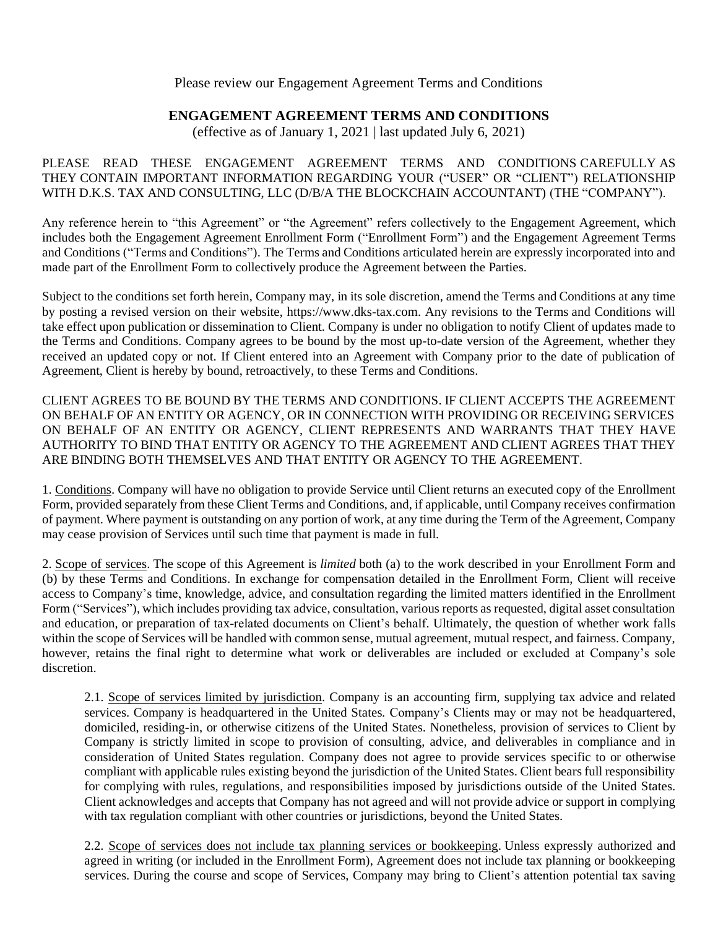## Please review our Engagement Agreement Terms and Conditions

# **ENGAGEMENT AGREEMENT TERMS AND CONDITIONS**

(effective as of January 1, 2021 | last updated July 6, 2021)

## PLEASE READ THESE ENGAGEMENT AGREEMENT TERMS AND CONDITIONS CAREFULLY AS THEY CONTAIN IMPORTANT INFORMATION REGARDING YOUR ("USER" OR "CLIENT") RELATIONSHIP WITH D.K.S. TAX AND CONSULTING, LLC (D/B/A THE BLOCKCHAIN ACCOUNTANT) (THE "COMPANY").

Any reference herein to "this Agreement" or "the Agreement" refers collectively to the Engagement Agreement, which includes both the Engagement Agreement Enrollment Form ("Enrollment Form") and the Engagement Agreement Terms and Conditions ("Terms and Conditions"). The Terms and Conditions articulated herein are expressly incorporated into and made part of the Enrollment Form to collectively produce the Agreement between the Parties.

Subject to the conditions set forth herein, Company may, in its sole discretion, amend the Terms and Conditions at any time by posting a revised version on their website, https://www.dks-tax.com. Any revisions to the Terms and Conditions will take effect upon publication or dissemination to Client. Company is under no obligation to notify Client of updates made to the Terms and Conditions. Company agrees to be bound by the most up-to-date version of the Agreement, whether they received an updated copy or not. If Client entered into an Agreement with Company prior to the date of publication of Agreement, Client is hereby by bound, retroactively, to these Terms and Conditions.

CLIENT AGREES TO BE BOUND BY THE TERMS AND CONDITIONS. IF CLIENT ACCEPTS THE AGREEMENT ON BEHALF OF AN ENTITY OR AGENCY, OR IN CONNECTION WITH PROVIDING OR RECEIVING SERVICES ON BEHALF OF AN ENTITY OR AGENCY, CLIENT REPRESENTS AND WARRANTS THAT THEY HAVE AUTHORITY TO BIND THAT ENTITY OR AGENCY TO THE AGREEMENT AND CLIENT AGREES THAT THEY ARE BINDING BOTH THEMSELVES AND THAT ENTITY OR AGENCY TO THE AGREEMENT.

1. Conditions. Company will have no obligation to provide Service until Client returns an executed copy of the Enrollment Form, provided separately from these Client Terms and Conditions, and, if applicable, until Company receives confirmation of payment. Where payment is outstanding on any portion of work, at any time during the Term of the Agreement, Company may cease provision of Services until such time that payment is made in full.

2. Scope of services. The scope of this Agreement is *limited* both (a) to the work described in your Enrollment Form and (b) by these Terms and Conditions. In exchange for compensation detailed in the Enrollment Form, Client will receive access to Company's time, knowledge, advice, and consultation regarding the limited matters identified in the Enrollment Form ("Services"), which includes providing tax advice, consultation, various reports as requested, digital asset consultation and education, or preparation of tax-related documents on Client's behalf. Ultimately, the question of whether work falls within the scope of Services will be handled with common sense, mutual agreement, mutual respect, and fairness. Company, however, retains the final right to determine what work or deliverables are included or excluded at Company's sole discretion.

2.1. Scope of services limited by jurisdiction. Company is an accounting firm, supplying tax advice and related services. Company is headquartered in the United States. Company's Clients may or may not be headquartered, domiciled, residing-in, or otherwise citizens of the United States. Nonetheless, provision of services to Client by Company is strictly limited in scope to provision of consulting, advice, and deliverables in compliance and in consideration of United States regulation. Company does not agree to provide services specific to or otherwise compliant with applicable rules existing beyond the jurisdiction of the United States. Client bears full responsibility for complying with rules, regulations, and responsibilities imposed by jurisdictions outside of the United States. Client acknowledges and accepts that Company has not agreed and will not provide advice or support in complying with tax regulation compliant with other countries or jurisdictions, beyond the United States.

2.2. Scope of services does not include tax planning services or bookkeeping. Unless expressly authorized and agreed in writing (or included in the Enrollment Form), Agreement does not include tax planning or bookkeeping services. During the course and scope of Services, Company may bring to Client's attention potential tax saving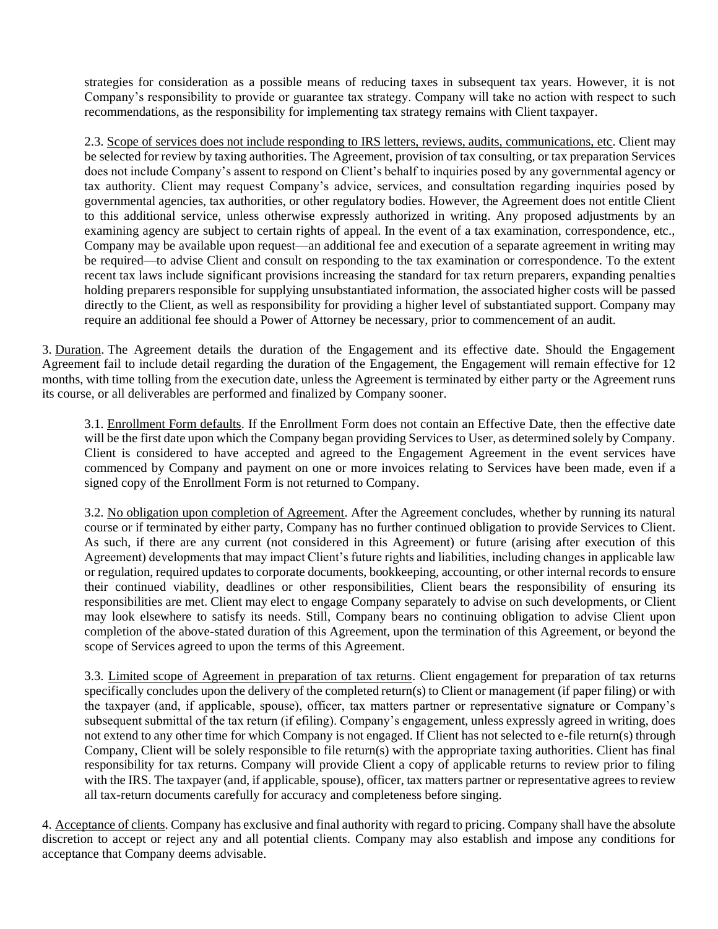strategies for consideration as a possible means of reducing taxes in subsequent tax years. However, it is not Company's responsibility to provide or guarantee tax strategy. Company will take no action with respect to such recommendations, as the responsibility for implementing tax strategy remains with Client taxpayer.

2.3. Scope of services does not include responding to IRS letters, reviews, audits, communications, etc. Client may be selected for review by taxing authorities. The Agreement, provision of tax consulting, or tax preparation Services does not include Company's assent to respond on Client's behalf to inquiries posed by any governmental agency or tax authority. Client may request Company's advice, services, and consultation regarding inquiries posed by governmental agencies, tax authorities, or other regulatory bodies. However, the Agreement does not entitle Client to this additional service, unless otherwise expressly authorized in writing. Any proposed adjustments by an examining agency are subject to certain rights of appeal. In the event of a tax examination, correspondence, etc., Company may be available upon request—an additional fee and execution of a separate agreement in writing may be required—to advise Client and consult on responding to the tax examination or correspondence. To the extent recent tax laws include significant provisions increasing the standard for tax return preparers, expanding penalties holding preparers responsible for supplying unsubstantiated information, the associated higher costs will be passed directly to the Client, as well as responsibility for providing a higher level of substantiated support. Company may require an additional fee should a Power of Attorney be necessary, prior to commencement of an audit.

3. Duration. The Agreement details the duration of the Engagement and its effective date. Should the Engagement Agreement fail to include detail regarding the duration of the Engagement, the Engagement will remain effective for 12 months, with time tolling from the execution date, unless the Agreement is terminated by either party or the Agreement runs its course, or all deliverables are performed and finalized by Company sooner.

3.1. Enrollment Form defaults. If the Enrollment Form does not contain an Effective Date, then the effective date will be the first date upon which the Company began providing Services to User, as determined solely by Company. Client is considered to have accepted and agreed to the Engagement Agreement in the event services have commenced by Company and payment on one or more invoices relating to Services have been made, even if a signed copy of the Enrollment Form is not returned to Company.

3.2. No obligation upon completion of Agreement. After the Agreement concludes, whether by running its natural course or if terminated by either party, Company has no further continued obligation to provide Services to Client. As such, if there are any current (not considered in this Agreement) or future (arising after execution of this Agreement) developments that may impact Client's future rights and liabilities, including changes in applicable law or regulation, required updates to corporate documents, bookkeeping, accounting, or other internal records to ensure their continued viability, deadlines or other responsibilities, Client bears the responsibility of ensuring its responsibilities are met. Client may elect to engage Company separately to advise on such developments, or Client may look elsewhere to satisfy its needs. Still, Company bears no continuing obligation to advise Client upon completion of the above-stated duration of this Agreement, upon the termination of this Agreement, or beyond the scope of Services agreed to upon the terms of this Agreement.

3.3. Limited scope of Agreement in preparation of tax returns. Client engagement for preparation of tax returns specifically concludes upon the delivery of the completed return(s) to Client or management (if paper filing) or with the taxpayer (and, if applicable, spouse), officer, tax matters partner or representative signature or Company's subsequent submittal of the tax return (if efiling). Company's engagement, unless expressly agreed in writing, does not extend to any other time for which Company is not engaged. If Client has not selected to e-file return(s) through Company, Client will be solely responsible to file return(s) with the appropriate taxing authorities. Client has final responsibility for tax returns. Company will provide Client a copy of applicable returns to review prior to filing with the IRS. The taxpayer (and, if applicable, spouse), officer, tax matters partner or representative agrees to review all tax-return documents carefully for accuracy and completeness before singing.

4. Acceptance of clients. Company has exclusive and final authority with regard to pricing. Company shall have the absolute discretion to accept or reject any and all potential clients. Company may also establish and impose any conditions for acceptance that Company deems advisable.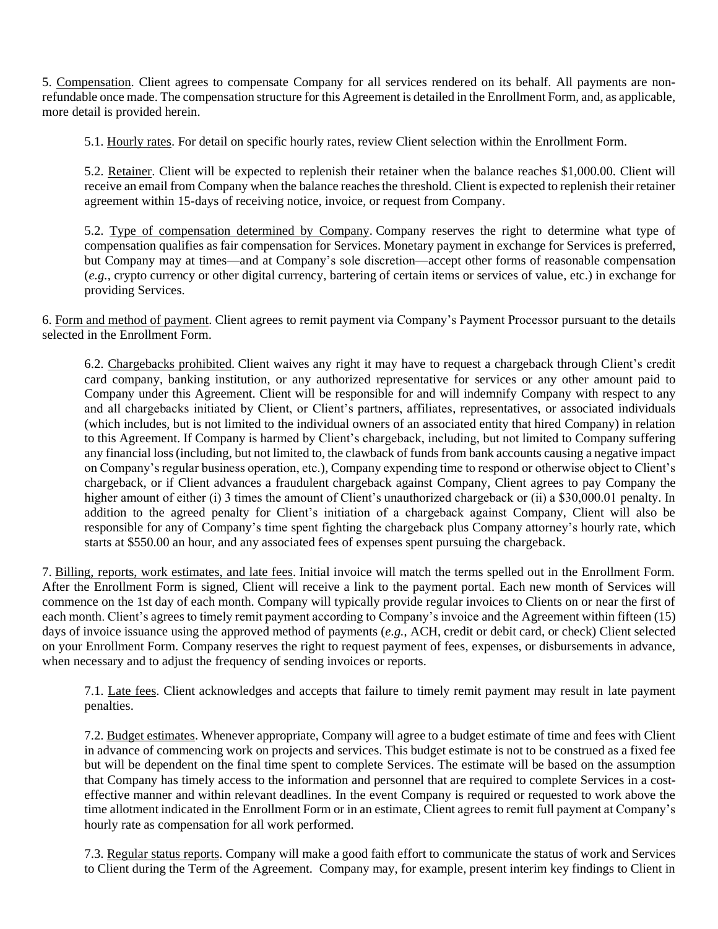5. Compensation. Client agrees to compensate Company for all services rendered on its behalf. All payments are nonrefundable once made. The compensation structure for this Agreement is detailed in the Enrollment Form, and, as applicable, more detail is provided herein.

5.1. Hourly rates. For detail on specific hourly rates, review Client selection within the Enrollment Form.

5.2. Retainer. Client will be expected to replenish their retainer when the balance reaches \$1,000.00. Client will receive an email from Company when the balance reaches the threshold. Client is expected to replenish their retainer agreement within 15-days of receiving notice, invoice, or request from Company.

5.2. Type of compensation determined by Company. Company reserves the right to determine what type of compensation qualifies as fair compensation for Services. Monetary payment in exchange for Services is preferred, but Company may at times—and at Company's sole discretion—accept other forms of reasonable compensation (*e.g.*, crypto currency or other digital currency, bartering of certain items or services of value, etc.) in exchange for providing Services.

6. Form and method of payment. Client agrees to remit payment via Company's Payment Processor pursuant to the details selected in the Enrollment Form.

6.2. Chargebacks prohibited. Client waives any right it may have to request a chargeback through Client's credit card company, banking institution, or any authorized representative for services or any other amount paid to Company under this Agreement. Client will be responsible for and will indemnify Company with respect to any and all chargebacks initiated by Client, or Client's partners, affiliates, representatives, or associated individuals (which includes, but is not limited to the individual owners of an associated entity that hired Company) in relation to this Agreement. If Company is harmed by Client's chargeback, including, but not limited to Company suffering any financial loss (including, but not limited to, the clawback of funds from bank accounts causing a negative impact on Company's regular business operation, etc.), Company expending time to respond or otherwise object to Client's chargeback, or if Client advances a fraudulent chargeback against Company, Client agrees to pay Company the higher amount of either (i) 3 times the amount of Client's unauthorized chargeback or (ii) a \$30,000.01 penalty. In addition to the agreed penalty for Client's initiation of a chargeback against Company, Client will also be responsible for any of Company's time spent fighting the chargeback plus Company attorney's hourly rate, which starts at \$550.00 an hour, and any associated fees of expenses spent pursuing the chargeback.

7. Billing, reports, work estimates, and late fees. Initial invoice will match the terms spelled out in the Enrollment Form. After the Enrollment Form is signed, Client will receive a link to the payment portal. Each new month of Services will commence on the 1st day of each month. Company will typically provide regular invoices to Clients on or near the first of each month. Client's agrees to timely remit payment according to Company's invoice and the Agreement within fifteen (15) days of invoice issuance using the approved method of payments (*e.g.*, ACH, credit or debit card, or check) Client selected on your Enrollment Form. Company reserves the right to request payment of fees, expenses, or disbursements in advance, when necessary and to adjust the frequency of sending invoices or reports.

7.1. Late fees. Client acknowledges and accepts that failure to timely remit payment may result in late payment penalties.

7.2. Budget estimates. Whenever appropriate, Company will agree to a budget estimate of time and fees with Client in advance of commencing work on projects and services. This budget estimate is not to be construed as a fixed fee but will be dependent on the final time spent to complete Services. The estimate will be based on the assumption that Company has timely access to the information and personnel that are required to complete Services in a costeffective manner and within relevant deadlines. In the event Company is required or requested to work above the time allotment indicated in the Enrollment Form or in an estimate, Client agrees to remit full payment at Company's hourly rate as compensation for all work performed.

7.3. Regular status reports. Company will make a good faith effort to communicate the status of work and Services to Client during the Term of the Agreement. Company may, for example, present interim key findings to Client in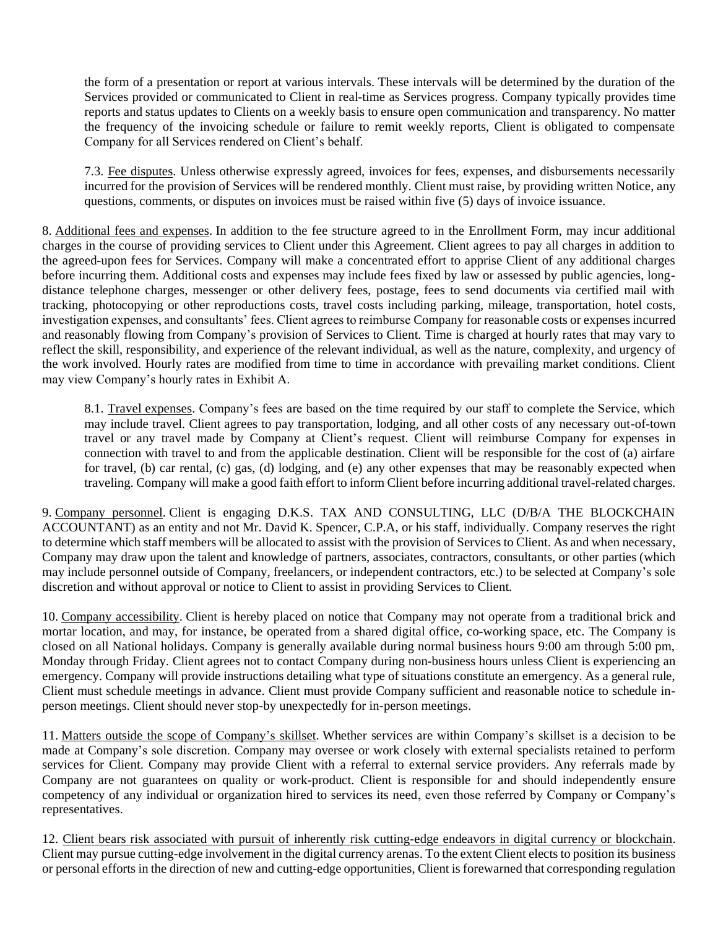the form of a presentation or report at various intervals. These intervals will be determined by the duration of the Services provided or communicated to Client in real-time as Services progress. Company typically provides time reports and status updates to Clients on a weekly basis to ensure open communication and transparency. No matter the frequency of the invoicing schedule or failure to remit weekly reports, Client is obligated to compensate Company for all Services rendered on Client's behalf.

7.3. Fee disputes. Unless otherwise expressly agreed, invoices for fees, expenses, and disbursements necessarily incurred for the provision of Services will be rendered monthly. Client must raise, by providing written Notice, any questions, comments, or disputes on invoices must be raised within five (5) days of invoice issuance.

8. Additional fees and expenses. In addition to the fee structure agreed to in the Enrollment Form, may incur additional charges in the course of providing services to Client under this Agreement. Client agrees to pay all charges in addition to the agreed-upon fees for Services. Company will make a concentrated effort to apprise Client of any additional charges before incurring them. Additional costs and expenses may include fees fixed by law or assessed by public agencies, longdistance telephone charges, messenger or other delivery fees, postage, fees to send documents via certified mail with tracking, photocopying or other reproductions costs, travel costs including parking, mileage, transportation, hotel costs, investigation expenses, and consultants' fees. Client agrees to reimburse Company for reasonable costs or expenses incurred and reasonably flowing from Company's provision of Services to Client. Time is charged at hourly rates that may vary to reflect the skill, responsibility, and experience of the relevant individual, as well as the nature, complexity, and urgency of the work involved. Hourly rates are modified from time to time in accordance with prevailing market conditions. Client may view Company's hourly rates in Exhibit A.

8.1. Travel expenses. Company's fees are based on the time required by our staff to complete the Service, which may include travel. Client agrees to pay transportation, lodging, and all other costs of any necessary out-of-town travel or any travel made by Company at Client's request. Client will reimburse Company for expenses in connection with travel to and from the applicable destination. Client will be responsible for the cost of (a) airfare for travel, (b) car rental, (c) gas, (d) lodging, and (e) any other expenses that may be reasonably expected when traveling. Company will make a good faith effort to inform Client before incurring additional travel-related charges.

9. Company personnel. Client is engaging D.K.S. TAX AND CONSULTING, LLC (D/B/A THE BLOCKCHAIN ACCOUNTANT) as an entity and not Mr. David K. Spencer, C.P.A, or his staff, individually. Company reserves the right to determine which staff members will be allocated to assist with the provision of Services to Client. As and when necessary, Company may draw upon the talent and knowledge of partners, associates, contractors, consultants, or other parties (which may include personnel outside of Company, freelancers, or independent contractors, etc.) to be selected at Company's sole discretion and without approval or notice to Client to assist in providing Services to Client.

10. Company accessibility. Client is hereby placed on notice that Company may not operate from a traditional brick and mortar location, and may, for instance, be operated from a shared digital office, co-working space, etc. The Company is closed on all National holidays. Company is generally available during normal business hours 9:00 am through 5:00 pm, Monday through Friday. Client agrees not to contact Company during non-business hours unless Client is experiencing an emergency. Company will provide instructions detailing what type of situations constitute an emergency. As a general rule, Client must schedule meetings in advance. Client must provide Company sufficient and reasonable notice to schedule inperson meetings. Client should never stop-by unexpectedly for in-person meetings.

11. Matters outside the scope of Company's skillset. Whether services are within Company's skillset is a decision to be made at Company's sole discretion. Company may oversee or work closely with external specialists retained to perform services for Client. Company may provide Client with a referral to external service providers. Any referrals made by Company are not guarantees on quality or work-product. Client is responsible for and should independently ensure competency of any individual or organization hired to services its need, even those referred by Company or Company's representatives.

12. Client bears risk associated with pursuit of inherently risk cutting-edge endeavors in digital currency or blockchain. Client may pursue cutting-edge involvement in the digital currency arenas. To the extent Client elects to position its business or personal efforts in the direction of new and cutting-edge opportunities, Client is forewarned that corresponding regulation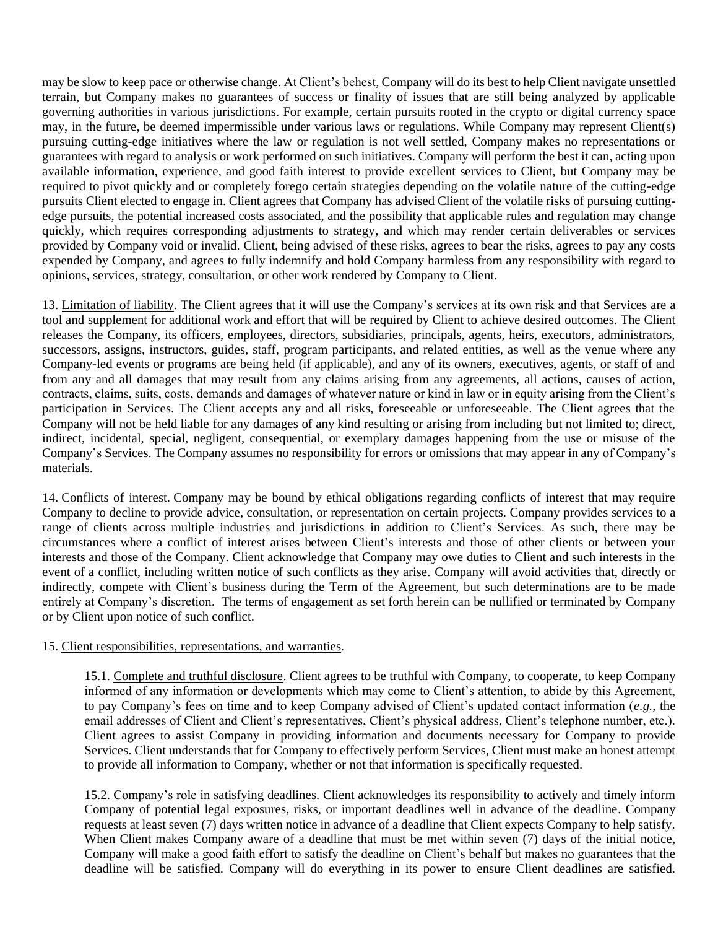may be slow to keep pace or otherwise change. At Client's behest, Company will do its best to help Client navigate unsettled terrain, but Company makes no guarantees of success or finality of issues that are still being analyzed by applicable governing authorities in various jurisdictions. For example, certain pursuits rooted in the crypto or digital currency space may, in the future, be deemed impermissible under various laws or regulations. While Company may represent Client(s) pursuing cutting-edge initiatives where the law or regulation is not well settled, Company makes no representations or guarantees with regard to analysis or work performed on such initiatives. Company will perform the best it can, acting upon available information, experience, and good faith interest to provide excellent services to Client, but Company may be required to pivot quickly and or completely forego certain strategies depending on the volatile nature of the cutting-edge pursuits Client elected to engage in. Client agrees that Company has advised Client of the volatile risks of pursuing cuttingedge pursuits, the potential increased costs associated, and the possibility that applicable rules and regulation may change quickly, which requires corresponding adjustments to strategy, and which may render certain deliverables or services provided by Company void or invalid. Client, being advised of these risks, agrees to bear the risks, agrees to pay any costs expended by Company, and agrees to fully indemnify and hold Company harmless from any responsibility with regard to opinions, services, strategy, consultation, or other work rendered by Company to Client.

13. Limitation of liability. The Client agrees that it will use the Company's services at its own risk and that Services are a tool and supplement for additional work and effort that will be required by Client to achieve desired outcomes. The Client releases the Company, its officers, employees, directors, subsidiaries, principals, agents, heirs, executors, administrators, successors, assigns, instructors, guides, staff, program participants, and related entities, as well as the venue where any Company-led events or programs are being held (if applicable), and any of its owners, executives, agents, or staff of and from any and all damages that may result from any claims arising from any agreements, all actions, causes of action, contracts, claims, suits, costs, demands and damages of whatever nature or kind in law or in equity arising from the Client's participation in Services. The Client accepts any and all risks, foreseeable or unforeseeable. The Client agrees that the Company will not be held liable for any damages of any kind resulting or arising from including but not limited to; direct, indirect, incidental, special, negligent, consequential, or exemplary damages happening from the use or misuse of the Company's Services. The Company assumes no responsibility for errors or omissions that may appear in any of Company's materials.

14. Conflicts of interest. Company may be bound by ethical obligations regarding conflicts of interest that may require Company to decline to provide advice, consultation, or representation on certain projects. Company provides services to a range of clients across multiple industries and jurisdictions in addition to Client's Services. As such, there may be circumstances where a conflict of interest arises between Client's interests and those of other clients or between your interests and those of the Company. Client acknowledge that Company may owe duties to Client and such interests in the event of a conflict, including written notice of such conflicts as they arise. Company will avoid activities that, directly or indirectly, compete with Client's business during the Term of the Agreement, but such determinations are to be made entirely at Company's discretion. The terms of engagement as set forth herein can be nullified or terminated by Company or by Client upon notice of such conflict.

### 15. Client responsibilities, representations, and warranties.

15.1. Complete and truthful disclosure. Client agrees to be truthful with Company, to cooperate, to keep Company informed of any information or developments which may come to Client's attention, to abide by this Agreement, to pay Company's fees on time and to keep Company advised of Client's updated contact information (*e.g.*, the email addresses of Client and Client's representatives, Client's physical address, Client's telephone number, etc.). Client agrees to assist Company in providing information and documents necessary for Company to provide Services. Client understands that for Company to effectively perform Services, Client must make an honest attempt to provide all information to Company, whether or not that information is specifically requested.

15.2. Company's role in satisfying deadlines. Client acknowledges its responsibility to actively and timely inform Company of potential legal exposures, risks, or important deadlines well in advance of the deadline. Company requests at least seven (7) days written notice in advance of a deadline that Client expects Company to help satisfy. When Client makes Company aware of a deadline that must be met within seven (7) days of the initial notice, Company will make a good faith effort to satisfy the deadline on Client's behalf but makes no guarantees that the deadline will be satisfied. Company will do everything in its power to ensure Client deadlines are satisfied.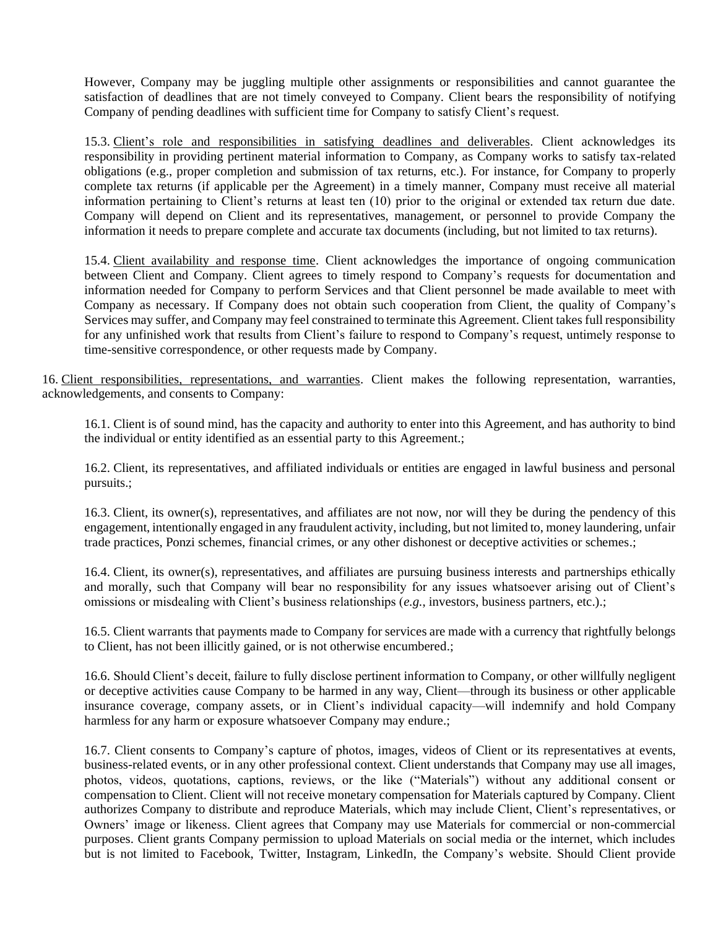However, Company may be juggling multiple other assignments or responsibilities and cannot guarantee the satisfaction of deadlines that are not timely conveyed to Company. Client bears the responsibility of notifying Company of pending deadlines with sufficient time for Company to satisfy Client's request.

15.3. Client's role and responsibilities in satisfying deadlines and deliverables. Client acknowledges its responsibility in providing pertinent material information to Company, as Company works to satisfy tax-related obligations (e.g., proper completion and submission of tax returns, etc.). For instance, for Company to properly complete tax returns (if applicable per the Agreement) in a timely manner, Company must receive all material information pertaining to Client's returns at least ten (10) prior to the original or extended tax return due date. Company will depend on Client and its representatives, management, or personnel to provide Company the information it needs to prepare complete and accurate tax documents (including, but not limited to tax returns).

15.4. Client availability and response time. Client acknowledges the importance of ongoing communication between Client and Company. Client agrees to timely respond to Company's requests for documentation and information needed for Company to perform Services and that Client personnel be made available to meet with Company as necessary. If Company does not obtain such cooperation from Client, the quality of Company's Services may suffer, and Company may feel constrained to terminate this Agreement. Client takes full responsibility for any unfinished work that results from Client's failure to respond to Company's request, untimely response to time-sensitive correspondence, or other requests made by Company.

16. Client responsibilities, representations, and warranties. Client makes the following representation, warranties, acknowledgements, and consents to Company:

16.1. Client is of sound mind, has the capacity and authority to enter into this Agreement, and has authority to bind the individual or entity identified as an essential party to this Agreement.;

16.2. Client, its representatives, and affiliated individuals or entities are engaged in lawful business and personal pursuits.;

16.3. Client, its owner(s), representatives, and affiliates are not now, nor will they be during the pendency of this engagement, intentionally engaged in any fraudulent activity, including, but not limited to, money laundering, unfair trade practices, Ponzi schemes, financial crimes, or any other dishonest or deceptive activities or schemes.;

16.4. Client, its owner(s), representatives, and affiliates are pursuing business interests and partnerships ethically and morally, such that Company will bear no responsibility for any issues whatsoever arising out of Client's omissions or misdealing with Client's business relationships (*e.g.*, investors, business partners, etc.).;

16.5. Client warrants that payments made to Company for services are made with a currency that rightfully belongs to Client, has not been illicitly gained, or is not otherwise encumbered.;

16.6. Should Client's deceit, failure to fully disclose pertinent information to Company, or other willfully negligent or deceptive activities cause Company to be harmed in any way, Client—through its business or other applicable insurance coverage, company assets, or in Client's individual capacity—will indemnify and hold Company harmless for any harm or exposure whatsoever Company may endure.;

16.7. Client consents to Company's capture of photos, images, videos of Client or its representatives at events, business-related events, or in any other professional context. Client understands that Company may use all images, photos, videos, quotations, captions, reviews, or the like ("Materials") without any additional consent or compensation to Client. Client will not receive monetary compensation for Materials captured by Company. Client authorizes Company to distribute and reproduce Materials, which may include Client, Client's representatives, or Owners' image or likeness. Client agrees that Company may use Materials for commercial or non-commercial purposes. Client grants Company permission to upload Materials on social media or the internet, which includes but is not limited to Facebook, Twitter, Instagram, LinkedIn, the Company's website. Should Client provide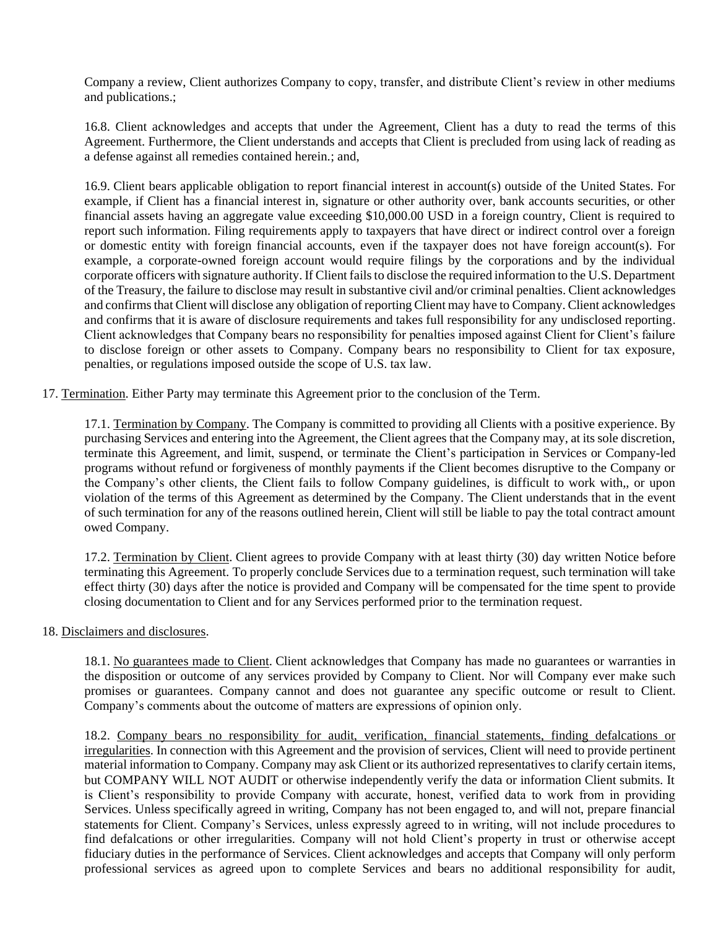Company a review, Client authorizes Company to copy, transfer, and distribute Client's review in other mediums and publications.;

16.8. Client acknowledges and accepts that under the Agreement, Client has a duty to read the terms of this Agreement. Furthermore, the Client understands and accepts that Client is precluded from using lack of reading as a defense against all remedies contained herein.; and,

16.9. Client bears applicable obligation to report financial interest in account(s) outside of the United States. For example, if Client has a financial interest in, signature or other authority over, bank accounts securities, or other financial assets having an aggregate value exceeding \$10,000.00 USD in a foreign country, Client is required to report such information. Filing requirements apply to taxpayers that have direct or indirect control over a foreign or domestic entity with foreign financial accounts, even if the taxpayer does not have foreign account(s). For example, a corporate-owned foreign account would require filings by the corporations and by the individual corporate officers with signature authority. If Client fails to disclose the required information to the U.S. Department of the Treasury, the failure to disclose may result in substantive civil and/or criminal penalties. Client acknowledges and confirms that Client will disclose any obligation of reporting Client may have to Company. Client acknowledges and confirms that it is aware of disclosure requirements and takes full responsibility for any undisclosed reporting. Client acknowledges that Company bears no responsibility for penalties imposed against Client for Client's failure to disclose foreign or other assets to Company. Company bears no responsibility to Client for tax exposure, penalties, or regulations imposed outside the scope of U.S. tax law.

17. Termination. Either Party may terminate this Agreement prior to the conclusion of the Term.

17.1. Termination by Company. The Company is committed to providing all Clients with a positive experience. By purchasing Services and entering into the Agreement, the Client agrees that the Company may, at its sole discretion, terminate this Agreement, and limit, suspend, or terminate the Client's participation in Services or Company-led programs without refund or forgiveness of monthly payments if the Client becomes disruptive to the Company or the Company's other clients, the Client fails to follow Company guidelines, is difficult to work with,, or upon violation of the terms of this Agreement as determined by the Company. The Client understands that in the event of such termination for any of the reasons outlined herein, Client will still be liable to pay the total contract amount owed Company.

17.2. Termination by Client. Client agrees to provide Company with at least thirty (30) day written Notice before terminating this Agreement. To properly conclude Services due to a termination request, such termination will take effect thirty (30) days after the notice is provided and Company will be compensated for the time spent to provide closing documentation to Client and for any Services performed prior to the termination request.

### 18. Disclaimers and disclosures.

18.1. No guarantees made to Client. Client acknowledges that Company has made no guarantees or warranties in the disposition or outcome of any services provided by Company to Client. Nor will Company ever make such promises or guarantees. Company cannot and does not guarantee any specific outcome or result to Client. Company's comments about the outcome of matters are expressions of opinion only.

18.2. Company bears no responsibility for audit, verification, financial statements, finding defalcations or irregularities. In connection with this Agreement and the provision of services, Client will need to provide pertinent material information to Company. Company may ask Client or its authorized representatives to clarify certain items, but COMPANY WILL NOT AUDIT or otherwise independently verify the data or information Client submits. It is Client's responsibility to provide Company with accurate, honest, verified data to work from in providing Services. Unless specifically agreed in writing, Company has not been engaged to, and will not, prepare financial statements for Client. Company's Services, unless expressly agreed to in writing, will not include procedures to find defalcations or other irregularities. Company will not hold Client's property in trust or otherwise accept fiduciary duties in the performance of Services. Client acknowledges and accepts that Company will only perform professional services as agreed upon to complete Services and bears no additional responsibility for audit,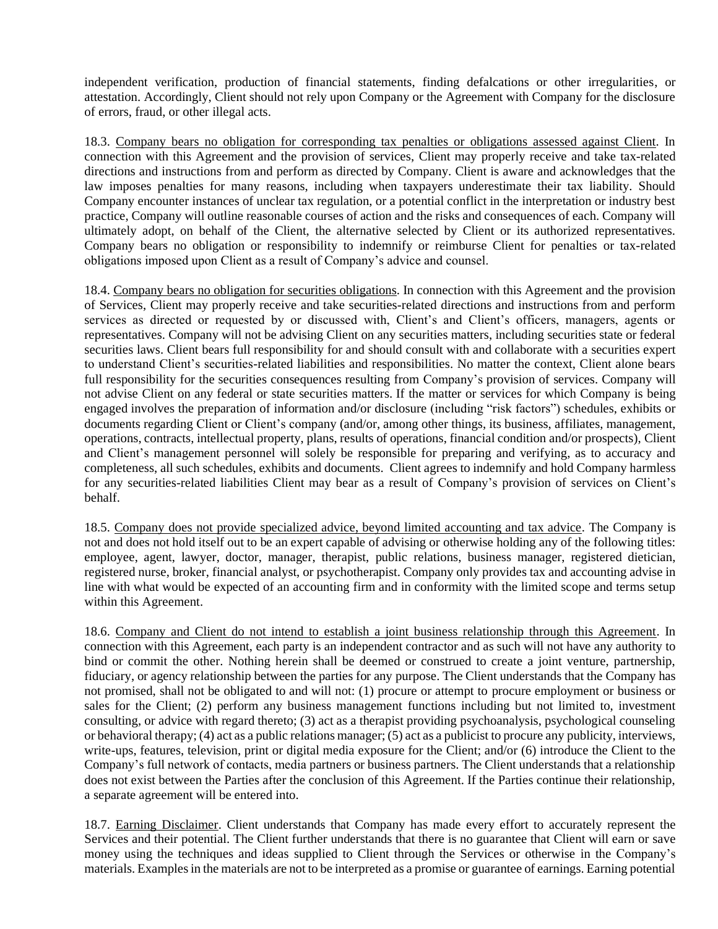independent verification, production of financial statements, finding defalcations or other irregularities, or attestation. Accordingly, Client should not rely upon Company or the Agreement with Company for the disclosure of errors, fraud, or other illegal acts.

18.3. Company bears no obligation for corresponding tax penalties or obligations assessed against Client. In connection with this Agreement and the provision of services, Client may properly receive and take tax-related directions and instructions from and perform as directed by Company. Client is aware and acknowledges that the law imposes penalties for many reasons, including when taxpayers underestimate their tax liability. Should Company encounter instances of unclear tax regulation, or a potential conflict in the interpretation or industry best practice, Company will outline reasonable courses of action and the risks and consequences of each. Company will ultimately adopt, on behalf of the Client, the alternative selected by Client or its authorized representatives. Company bears no obligation or responsibility to indemnify or reimburse Client for penalties or tax-related obligations imposed upon Client as a result of Company's advice and counsel.

18.4. Company bears no obligation for securities obligations. In connection with this Agreement and the provision of Services, Client may properly receive and take securities-related directions and instructions from and perform services as directed or requested by or discussed with, Client's and Client's officers, managers, agents or representatives. Company will not be advising Client on any securities matters, including securities state or federal securities laws. Client bears full responsibility for and should consult with and collaborate with a securities expert to understand Client's securities-related liabilities and responsibilities. No matter the context, Client alone bears full responsibility for the securities consequences resulting from Company's provision of services. Company will not advise Client on any federal or state securities matters. If the matter or services for which Company is being engaged involves the preparation of information and/or disclosure (including "risk factors") schedules, exhibits or documents regarding Client or Client's company (and/or, among other things, its business, affiliates, management, operations, contracts, intellectual property, plans, results of operations, financial condition and/or prospects), Client and Client's management personnel will solely be responsible for preparing and verifying, as to accuracy and completeness, all such schedules, exhibits and documents. Client agrees to indemnify and hold Company harmless for any securities-related liabilities Client may bear as a result of Company's provision of services on Client's behalf.

18.5. Company does not provide specialized advice, beyond limited accounting and tax advice. The Company is not and does not hold itself out to be an expert capable of advising or otherwise holding any of the following titles: employee, agent, lawyer, doctor, manager, therapist, public relations, business manager, registered dietician, registered nurse, broker, financial analyst, or psychotherapist. Company only provides tax and accounting advise in line with what would be expected of an accounting firm and in conformity with the limited scope and terms setup within this Agreement.

18.6. Company and Client do not intend to establish a joint business relationship through this Agreement. In connection with this Agreement, each party is an independent contractor and as such will not have any authority to bind or commit the other. Nothing herein shall be deemed or construed to create a joint venture, partnership, fiduciary, or agency relationship between the parties for any purpose. The Client understands that the Company has not promised, shall not be obligated to and will not: (1) procure or attempt to procure employment or business or sales for the Client; (2) perform any business management functions including but not limited to, investment consulting, or advice with regard thereto; (3) act as a therapist providing psychoanalysis, psychological counseling or behavioral therapy; (4) act as a public relations manager; (5) act as a publicist to procure any publicity, interviews, write-ups, features, television, print or digital media exposure for the Client; and/or (6) introduce the Client to the Company's full network of contacts, media partners or business partners. The Client understands that a relationship does not exist between the Parties after the conclusion of this Agreement. If the Parties continue their relationship, a separate agreement will be entered into.

18.7. Earning Disclaimer. Client understands that Company has made every effort to accurately represent the Services and their potential. The Client further understands that there is no guarantee that Client will earn or save money using the techniques and ideas supplied to Client through the Services or otherwise in the Company's materials. Examples in the materials are not to be interpreted as a promise or guarantee of earnings. Earning potential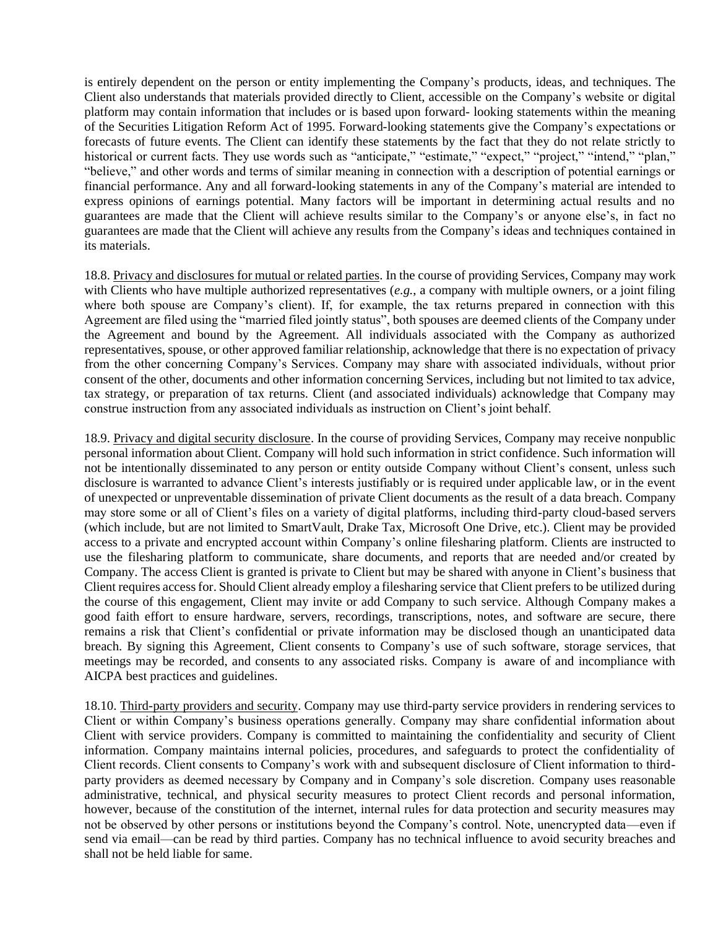is entirely dependent on the person or entity implementing the Company's products, ideas, and techniques. The Client also understands that materials provided directly to Client, accessible on the Company's website or digital platform may contain information that includes or is based upon forward- looking statements within the meaning of the Securities Litigation Reform Act of 1995. Forward-looking statements give the Company's expectations or forecasts of future events. The Client can identify these statements by the fact that they do not relate strictly to historical or current facts. They use words such as "anticipate," "estimate," "expect," "project," "intend," "plan," "believe," and other words and terms of similar meaning in connection with a description of potential earnings or financial performance. Any and all forward-looking statements in any of the Company's material are intended to express opinions of earnings potential. Many factors will be important in determining actual results and no guarantees are made that the Client will achieve results similar to the Company's or anyone else's, in fact no guarantees are made that the Client will achieve any results from the Company's ideas and techniques contained in its materials.

18.8. Privacy and disclosures for mutual or related parties. In the course of providing Services, Company may work with Clients who have multiple authorized representatives (*e.g.*, a company with multiple owners, or a joint filing where both spouse are Company's client). If, for example, the tax returns prepared in connection with this Agreement are filed using the "married filed jointly status", both spouses are deemed clients of the Company under the Agreement and bound by the Agreement. All individuals associated with the Company as authorized representatives, spouse, or other approved familiar relationship, acknowledge that there is no expectation of privacy from the other concerning Company's Services. Company may share with associated individuals, without prior consent of the other, documents and other information concerning Services, including but not limited to tax advice, tax strategy, or preparation of tax returns. Client (and associated individuals) acknowledge that Company may construe instruction from any associated individuals as instruction on Client's joint behalf.

18.9. Privacy and digital security disclosure. In the course of providing Services, Company may receive nonpublic personal information about Client. Company will hold such information in strict confidence. Such information will not be intentionally disseminated to any person or entity outside Company without Client's consent, unless such disclosure is warranted to advance Client's interests justifiably or is required under applicable law, or in the event of unexpected or unpreventable dissemination of private Client documents as the result of a data breach. Company may store some or all of Client's files on a variety of digital platforms, including third-party cloud-based servers (which include, but are not limited to SmartVault, Drake Tax, Microsoft One Drive, etc.). Client may be provided access to a private and encrypted account within Company's online filesharing platform. Clients are instructed to use the filesharing platform to communicate, share documents, and reports that are needed and/or created by Company. The access Client is granted is private to Client but may be shared with anyone in Client's business that Client requires accessfor. Should Client already employ a filesharing service that Client prefers to be utilized during the course of this engagement, Client may invite or add Company to such service. Although Company makes a good faith effort to ensure hardware, servers, recordings, transcriptions, notes, and software are secure, there remains a risk that Client's confidential or private information may be disclosed though an unanticipated data breach. By signing this Agreement, Client consents to Company's use of such software, storage services, that meetings may be recorded, and consents to any associated risks. Company is aware of and incompliance with AICPA best practices and guidelines.

18.10. Third-party providers and security. Company may use third-party service providers in rendering services to Client or within Company's business operations generally. Company may share confidential information about Client with service providers. Company is committed to maintaining the confidentiality and security of Client information. Company maintains internal policies, procedures, and safeguards to protect the confidentiality of Client records. Client consents to Company's work with and subsequent disclosure of Client information to thirdparty providers as deemed necessary by Company and in Company's sole discretion. Company uses reasonable administrative, technical, and physical security measures to protect Client records and personal information, however, because of the constitution of the internet, internal rules for data protection and security measures may not be observed by other persons or institutions beyond the Company's control. Note, unencrypted data—even if send via email—can be read by third parties. Company has no technical influence to avoid security breaches and shall not be held liable for same.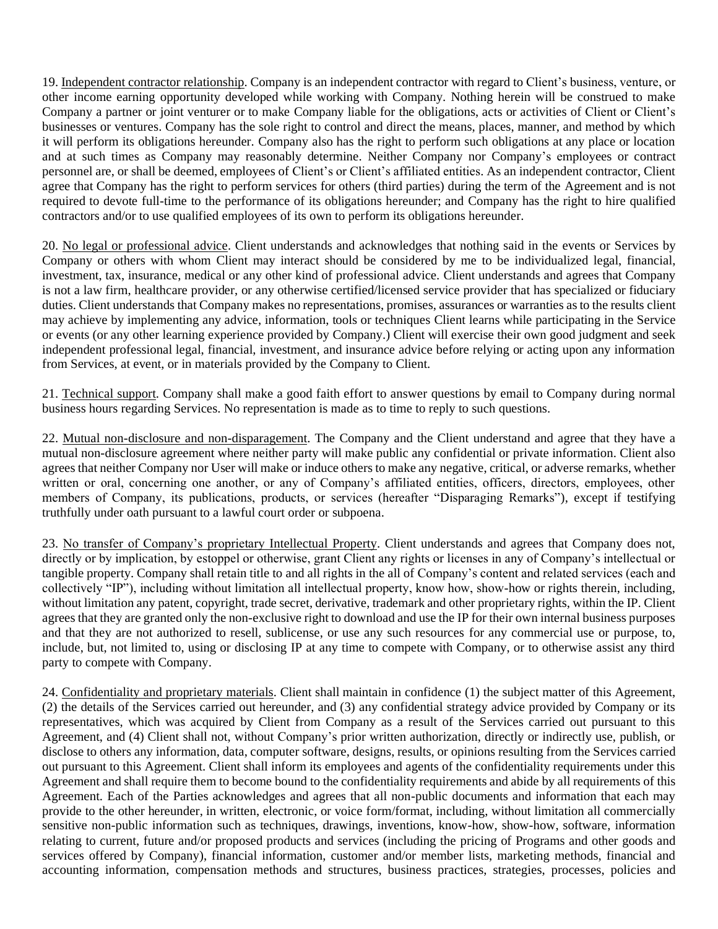19. Independent contractor relationship. Company is an independent contractor with regard to Client's business, venture, or other income earning opportunity developed while working with Company. Nothing herein will be construed to make Company a partner or joint venturer or to make Company liable for the obligations, acts or activities of Client or Client's businesses or ventures. Company has the sole right to control and direct the means, places, manner, and method by which it will perform its obligations hereunder. Company also has the right to perform such obligations at any place or location and at such times as Company may reasonably determine. Neither Company nor Company's employees or contract personnel are, or shall be deemed, employees of Client's or Client's affiliated entities. As an independent contractor, Client agree that Company has the right to perform services for others (third parties) during the term of the Agreement and is not required to devote full-time to the performance of its obligations hereunder; and Company has the right to hire qualified contractors and/or to use qualified employees of its own to perform its obligations hereunder.

20. No legal or professional advice. Client understands and acknowledges that nothing said in the events or Services by Company or others with whom Client may interact should be considered by me to be individualized legal, financial, investment, tax, insurance, medical or any other kind of professional advice. Client understands and agrees that Company is not a law firm, healthcare provider, or any otherwise certified/licensed service provider that has specialized or fiduciary duties. Client understands that Company makes no representations, promises, assurances or warranties as to the results client may achieve by implementing any advice, information, tools or techniques Client learns while participating in the Service or events (or any other learning experience provided by Company.) Client will exercise their own good judgment and seek independent professional legal, financial, investment, and insurance advice before relying or acting upon any information from Services, at event, or in materials provided by the Company to Client.

21. Technical support. Company shall make a good faith effort to answer questions by email to Company during normal business hours regarding Services. No representation is made as to time to reply to such questions.

22. Mutual non-disclosure and non-disparagement. The Company and the Client understand and agree that they have a mutual non-disclosure agreement where neither party will make public any confidential or private information. Client also agrees that neither Company nor User will make or induce others to make any negative, critical, or adverse remarks, whether written or oral, concerning one another, or any of Company's affiliated entities, officers, directors, employees, other members of Company, its publications, products, or services (hereafter "Disparaging Remarks"), except if testifying truthfully under oath pursuant to a lawful court order or subpoena.

23. No transfer of Company's proprietary Intellectual Property. Client understands and agrees that Company does not, directly or by implication, by estoppel or otherwise, grant Client any rights or licenses in any of Company's intellectual or tangible property. Company shall retain title to and all rights in the all of Company's content and related services (each and collectively "IP"), including without limitation all intellectual property, know how, show-how or rights therein, including, without limitation any patent, copyright, trade secret, derivative, trademark and other proprietary rights, within the IP. Client agrees that they are granted only the non-exclusive right to download and use the IP for their own internal business purposes and that they are not authorized to resell, sublicense, or use any such resources for any commercial use or purpose, to, include, but, not limited to, using or disclosing IP at any time to compete with Company, or to otherwise assist any third party to compete with Company.

24. Confidentiality and proprietary materials. Client shall maintain in confidence (1) the subject matter of this Agreement, (2) the details of the Services carried out hereunder, and (3) any confidential strategy advice provided by Company or its representatives, which was acquired by Client from Company as a result of the Services carried out pursuant to this Agreement, and (4) Client shall not, without Company's prior written authorization, directly or indirectly use, publish, or disclose to others any information, data, computer software, designs, results, or opinions resulting from the Services carried out pursuant to this Agreement. Client shall inform its employees and agents of the confidentiality requirements under this Agreement and shall require them to become bound to the confidentiality requirements and abide by all requirements of this Agreement. Each of the Parties acknowledges and agrees that all non-public documents and information that each may provide to the other hereunder, in written, electronic, or voice form/format, including, without limitation all commercially sensitive non-public information such as techniques, drawings, inventions, know-how, show-how, software, information relating to current, future and/or proposed products and services (including the pricing of Programs and other goods and services offered by Company), financial information, customer and/or member lists, marketing methods, financial and accounting information, compensation methods and structures, business practices, strategies, processes, policies and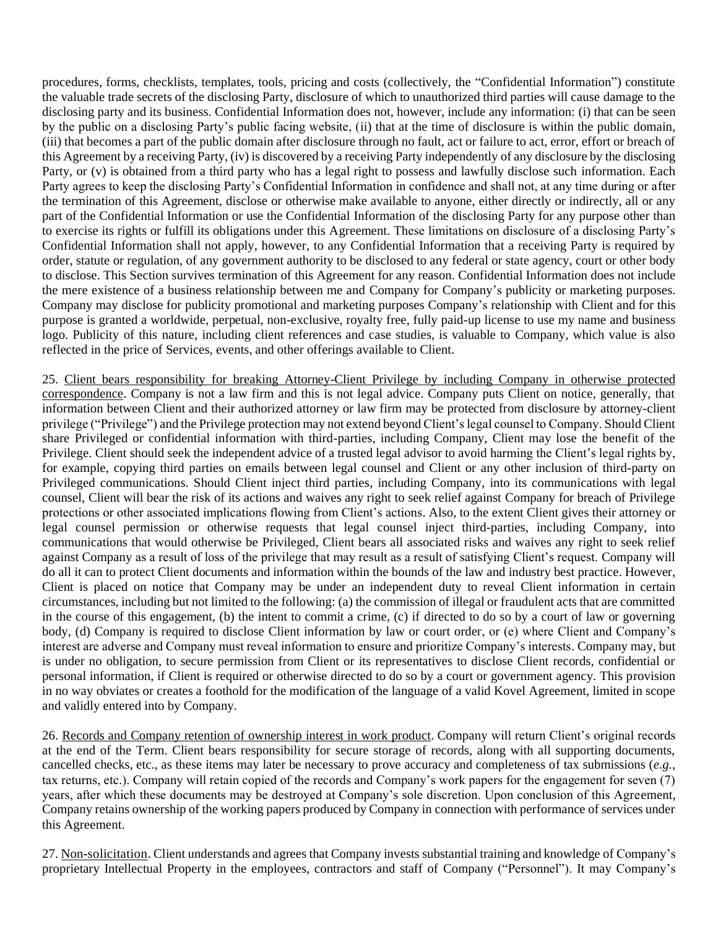procedures, forms, checklists, templates, tools, pricing and costs (collectively, the "Confidential Information") constitute the valuable trade secrets of the disclosing Party, disclosure of which to unauthorized third parties will cause damage to the disclosing party and its business. Confidential Information does not, however, include any information: (i) that can be seen by the public on a disclosing Party's public facing website, (ii) that at the time of disclosure is within the public domain, (iii) that becomes a part of the public domain after disclosure through no fault, act or failure to act, error, effort or breach of this Agreement by a receiving Party, (iv) is discovered by a receiving Party independently of any disclosure by the disclosing Party, or (v) is obtained from a third party who has a legal right to possess and lawfully disclose such information. Each Party agrees to keep the disclosing Party's Confidential Information in confidence and shall not, at any time during or after the termination of this Agreement, disclose or otherwise make available to anyone, either directly or indirectly, all or any part of the Confidential Information or use the Confidential Information of the disclosing Party for any purpose other than to exercise its rights or fulfill its obligations under this Agreement. These limitations on disclosure of a disclosing Party's Confidential Information shall not apply, however, to any Confidential Information that a receiving Party is required by order, statute or regulation, of any government authority to be disclosed to any federal or state agency, court or other body to disclose. This Section survives termination of this Agreement for any reason. Confidential Information does not include the mere existence of a business relationship between me and Company for Company's publicity or marketing purposes. Company may disclose for publicity promotional and marketing purposes Company's relationship with Client and for this purpose is granted a worldwide, perpetual, non-exclusive, royalty free, fully paid-up license to use my name and business logo. Publicity of this nature, including client references and case studies, is valuable to Company, which value is also reflected in the price of Services, events, and other offerings available to Client.

25. Client bears responsibility for breaking Attorney-Client Privilege by including Company in otherwise protected correspondence. Company is not a law firm and this is not legal advice. Company puts Client on notice, generally, that information between Client and their authorized attorney or law firm may be protected from disclosure by attorney-client privilege ("Privilege") and the Privilege protection may not extend beyond Client's legal counsel to Company. Should Client share Privileged or confidential information with third-parties, including Company, Client may lose the benefit of the Privilege. Client should seek the independent advice of a trusted legal advisor to avoid harming the Client's legal rights by, for example, copying third parties on emails between legal counsel and Client or any other inclusion of third-party on Privileged communications. Should Client inject third parties, including Company, into its communications with legal counsel, Client will bear the risk of its actions and waives any right to seek relief against Company for breach of Privilege protections or other associated implications flowing from Client's actions. Also, to the extent Client gives their attorney or legal counsel permission or otherwise requests that legal counsel inject third-parties, including Company, into communications that would otherwise be Privileged, Client bears all associated risks and waives any right to seek relief against Company as a result of loss of the privilege that may result as a result of satisfying Client's request. Company will do all it can to protect Client documents and information within the bounds of the law and industry best practice. However, Client is placed on notice that Company may be under an independent duty to reveal Client information in certain circumstances, including but not limited to the following: (a) the commission of illegal or fraudulent acts that are committed in the course of this engagement, (b) the intent to commit a crime, (c) if directed to do so by a court of law or governing body, (d) Company is required to disclose Client information by law or court order, or (e) where Client and Company's interest are adverse and Company must reveal information to ensure and prioritize Company's interests. Company may, but is under no obligation, to secure permission from Client or its representatives to disclose Client records, confidential or personal information, if Client is required or otherwise directed to do so by a court or government agency. This provision in no way obviates or creates a foothold for the modification of the language of a valid Kovel Agreement, limited in scope and validly entered into by Company.

26. Records and Company retention of ownership interest in work product. Company will return Client's original records at the end of the Term. Client bears responsibility for secure storage of records, along with all supporting documents, cancelled checks, etc., as these items may later be necessary to prove accuracy and completeness of tax submissions (*e.g.*, tax returns, etc.). Company will retain copied of the records and Company's work papers for the engagement for seven (7) years, after which these documents may be destroyed at Company's sole discretion. Upon conclusion of this Agreement, Company retains ownership of the working papers produced by Company in connection with performance of services under this Agreement.

27. Non**-**solicitation. Client understands and agrees that Company invests substantial training and knowledge of Company's proprietary Intellectual Property in the employees, contractors and staff of Company ("Personnel"). It may Company's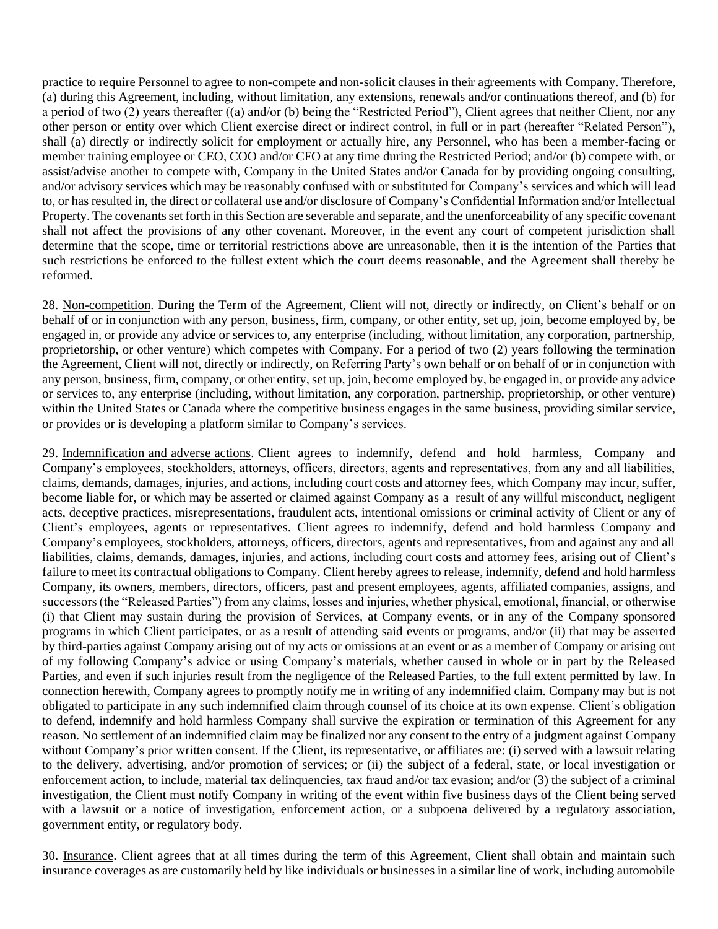practice to require Personnel to agree to non-compete and non-solicit clauses in their agreements with Company. Therefore, (a) during this Agreement, including, without limitation, any extensions, renewals and/or continuations thereof, and (b) for a period of two (2) years thereafter ((a) and/or (b) being the "Restricted Period"), Client agrees that neither Client, nor any other person or entity over which Client exercise direct or indirect control, in full or in part (hereafter "Related Person"), shall (a) directly or indirectly solicit for employment or actually hire, any Personnel, who has been a member-facing or member training employee or CEO, COO and/or CFO at any time during the Restricted Period; and/or (b) compete with, or assist/advise another to compete with, Company in the United States and/or Canada for by providing ongoing consulting, and/or advisory services which may be reasonably confused with or substituted for Company's services and which will lead to, or has resulted in, the direct or collateral use and/or disclosure of Company's Confidential Information and/or Intellectual Property. The covenants set forth in this Section are severable and separate, and the unenforceability of any specific covenant shall not affect the provisions of any other covenant. Moreover, in the event any court of competent jurisdiction shall determine that the scope, time or territorial restrictions above are unreasonable, then it is the intention of the Parties that such restrictions be enforced to the fullest extent which the court deems reasonable, and the Agreement shall thereby be reformed.

28. Non-competition. During the Term of the Agreement, Client will not, directly or indirectly, on Client's behalf or on behalf of or in conjunction with any person, business, firm, company, or other entity, set up, join, become employed by, be engaged in, or provide any advice or services to, any enterprise (including, without limitation, any corporation, partnership, proprietorship, or other venture) which competes with Company. For a period of two (2) years following the termination the Agreement, Client will not, directly or indirectly, on Referring Party's own behalf or on behalf of or in conjunction with any person, business, firm, company, or other entity, set up, join, become employed by, be engaged in, or provide any advice or services to, any enterprise (including, without limitation, any corporation, partnership, proprietorship, or other venture) within the United States or Canada where the competitive business engages in the same business, providing similar service, or provides or is developing a platform similar to Company's services.

29. Indemnification and adverse actions. Client agrees to indemnify, defend and hold harmless, Company and Company's employees, stockholders, attorneys, officers, directors, agents and representatives, from any and all liabilities, claims, demands, damages, injuries, and actions, including court costs and attorney fees, which Company may incur, suffer, become liable for, or which may be asserted or claimed against Company as a result of any willful misconduct, negligent acts, deceptive practices, misrepresentations, fraudulent acts, intentional omissions or criminal activity of Client or any of Client's employees, agents or representatives. Client agrees to indemnify, defend and hold harmless Company and Company's employees, stockholders, attorneys, officers, directors, agents and representatives, from and against any and all liabilities, claims, demands, damages, injuries, and actions, including court costs and attorney fees, arising out of Client's failure to meet its contractual obligations to Company. Client hereby agrees to release, indemnify, defend and hold harmless Company, its owners, members, directors, officers, past and present employees, agents, affiliated companies, assigns, and successors (the "Released Parties") from any claims, losses and injuries, whether physical, emotional, financial, or otherwise (i) that Client may sustain during the provision of Services, at Company events, or in any of the Company sponsored programs in which Client participates, or as a result of attending said events or programs, and/or (ii) that may be asserted by third-parties against Company arising out of my acts or omissions at an event or as a member of Company or arising out of my following Company's advice or using Company's materials, whether caused in whole or in part by the Released Parties, and even if such injuries result from the negligence of the Released Parties, to the full extent permitted by law. In connection herewith, Company agrees to promptly notify me in writing of any indemnified claim. Company may but is not obligated to participate in any such indemnified claim through counsel of its choice at its own expense. Client's obligation to defend, indemnify and hold harmless Company shall survive the expiration or termination of this Agreement for any reason. No settlement of an indemnified claim may be finalized nor any consent to the entry of a judgment against Company without Company's prior written consent. If the Client, its representative, or affiliates are: (i) served with a lawsuit relating to the delivery, advertising, and/or promotion of services; or (ii) the subject of a federal, state, or local investigation or enforcement action, to include, material tax delinquencies, tax fraud and/or tax evasion; and/or (3) the subject of a criminal investigation, the Client must notify Company in writing of the event within five business days of the Client being served with a lawsuit or a notice of investigation, enforcement action, or a subpoena delivered by a regulatory association, government entity, or regulatory body.

30. Insurance. Client agrees that at all times during the term of this Agreement, Client shall obtain and maintain such insurance coverages as are customarily held by like individuals or businesses in a similar line of work, including automobile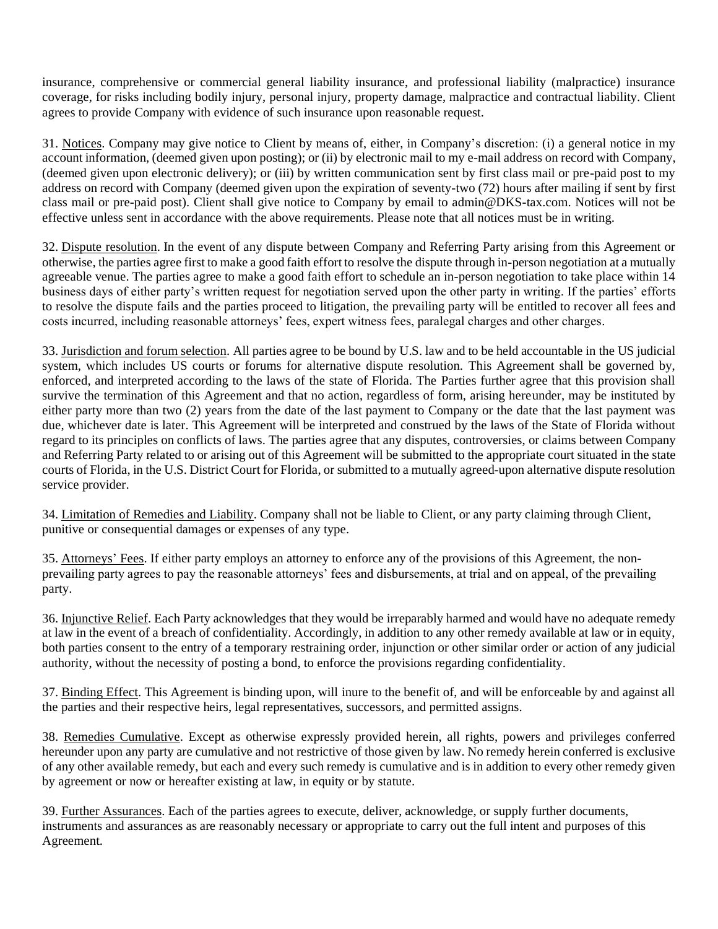insurance, comprehensive or commercial general liability insurance, and professional liability (malpractice) insurance coverage, for risks including bodily injury, personal injury, property damage, malpractice and contractual liability. Client agrees to provide Company with evidence of such insurance upon reasonable request.

31. Notices. Company may give notice to Client by means of, either, in Company's discretion: (i) a general notice in my account information, (deemed given upon posting); or (ii) by electronic mail to my e-mail address on record with Company, (deemed given upon electronic delivery); or (iii) by written communication sent by first class mail or pre-paid post to my address on record with Company (deemed given upon the expiration of seventy-two (72) hours after mailing if sent by first class mail or pre-paid post). Client shall give notice to Company by email to admin@DKS-tax.com. Notices will not be effective unless sent in accordance with the above requirements. Please note that all notices must be in writing.

32. Dispute resolution. In the event of any dispute between Company and Referring Party arising from this Agreement or otherwise, the parties agree first to make a good faith effort to resolve the dispute through in-person negotiation at a mutually agreeable venue. The parties agree to make a good faith effort to schedule an in-person negotiation to take place within 14 business days of either party's written request for negotiation served upon the other party in writing. If the parties' efforts to resolve the dispute fails and the parties proceed to litigation, the prevailing party will be entitled to recover all fees and costs incurred, including reasonable attorneys' fees, expert witness fees, paralegal charges and other charges.

33. Jurisdiction and forum selection. All parties agree to be bound by U.S. law and to be held accountable in the US judicial system, which includes US courts or forums for alternative dispute resolution. This Agreement shall be governed by, enforced, and interpreted according to the laws of the state of Florida. The Parties further agree that this provision shall survive the termination of this Agreement and that no action, regardless of form, arising hereunder, may be instituted by either party more than two (2) years from the date of the last payment to Company or the date that the last payment was due, whichever date is later. This Agreement will be interpreted and construed by the laws of the State of Florida without regard to its principles on conflicts of laws. The parties agree that any disputes, controversies, or claims between Company and Referring Party related to or arising out of this Agreement will be submitted to the appropriate court situated in the state courts of Florida, in the U.S. District Court for Florida, or submitted to a mutually agreed-upon alternative dispute resolution service provider.

34. Limitation of Remedies and Liability. Company shall not be liable to Client, or any party claiming through Client, punitive or consequential damages or expenses of any type.

35. Attorneys' Fees. If either party employs an attorney to enforce any of the provisions of this Agreement, the nonprevailing party agrees to pay the reasonable attorneys' fees and disbursements, at trial and on appeal, of the prevailing party.

36. Injunctive Relief. Each Party acknowledges that they would be irreparably harmed and would have no adequate remedy at law in the event of a breach of confidentiality. Accordingly, in addition to any other remedy available at law or in equity, both parties consent to the entry of a temporary restraining order, injunction or other similar order or action of any judicial authority, without the necessity of posting a bond, to enforce the provisions regarding confidentiality.

37. Binding Effect. This Agreement is binding upon, will inure to the benefit of, and will be enforceable by and against all the parties and their respective heirs, legal representatives, successors, and permitted assigns.

38. Remedies Cumulative. Except as otherwise expressly provided herein, all rights, powers and privileges conferred hereunder upon any party are cumulative and not restrictive of those given by law. No remedy herein conferred is exclusive of any other available remedy, but each and every such remedy is cumulative and is in addition to every other remedy given by agreement or now or hereafter existing at law, in equity or by statute.

39. Further Assurances. Each of the parties agrees to execute, deliver, acknowledge, or supply further documents, instruments and assurances as are reasonably necessary or appropriate to carry out the full intent and purposes of this Agreement.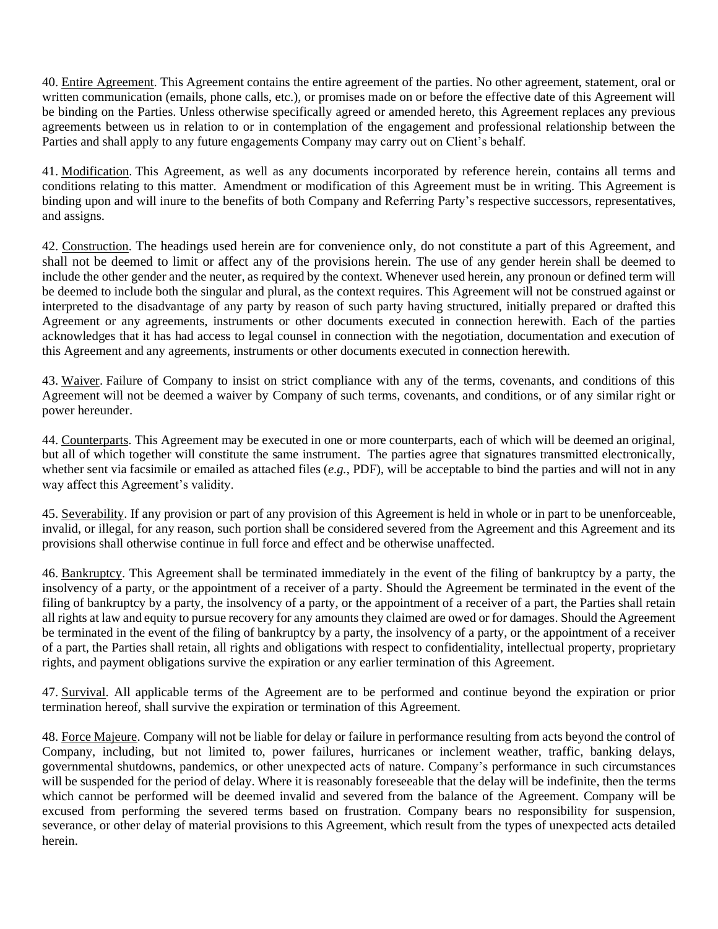40. Entire Agreement. This Agreement contains the entire agreement of the parties. No other agreement, statement, oral or written communication (emails, phone calls, etc.), or promises made on or before the effective date of this Agreement will be binding on the Parties. Unless otherwise specifically agreed or amended hereto, this Agreement replaces any previous agreements between us in relation to or in contemplation of the engagement and professional relationship between the Parties and shall apply to any future engagements Company may carry out on Client's behalf.

41. Modification. This Agreement, as well as any documents incorporated by reference herein, contains all terms and conditions relating to this matter. Amendment or modification of this Agreement must be in writing. This Agreement is binding upon and will inure to the benefits of both Company and Referring Party's respective successors, representatives, and assigns.

42. Construction. The headings used herein are for convenience only, do not constitute a part of this Agreement, and shall not be deemed to limit or affect any of the provisions herein. The use of any gender herein shall be deemed to include the other gender and the neuter, as required by the context. Whenever used herein, any pronoun or defined term will be deemed to include both the singular and plural, as the context requires. This Agreement will not be construed against or interpreted to the disadvantage of any party by reason of such party having structured, initially prepared or drafted this Agreement or any agreements, instruments or other documents executed in connection herewith. Each of the parties acknowledges that it has had access to legal counsel in connection with the negotiation, documentation and execution of this Agreement and any agreements, instruments or other documents executed in connection herewith.

43. Waiver. Failure of Company to insist on strict compliance with any of the terms, covenants, and conditions of this Agreement will not be deemed a waiver by Company of such terms, covenants, and conditions, or of any similar right or power hereunder.

44. Counterparts. This Agreement may be executed in one or more counterparts, each of which will be deemed an original, but all of which together will constitute the same instrument. The parties agree that signatures transmitted electronically, whether sent via facsimile or emailed as attached files (*e.g.*, PDF), will be acceptable to bind the parties and will not in any way affect this Agreement's validity.

45. Severability. If any provision or part of any provision of this Agreement is held in whole or in part to be unenforceable, invalid, or illegal, for any reason, such portion shall be considered severed from the Agreement and this Agreement and its provisions shall otherwise continue in full force and effect and be otherwise unaffected.

46. Bankruptcy. This Agreement shall be terminated immediately in the event of the filing of bankruptcy by a party, the insolvency of a party, or the appointment of a receiver of a party. Should the Agreement be terminated in the event of the filing of bankruptcy by a party, the insolvency of a party, or the appointment of a receiver of a part, the Parties shall retain all rights at law and equity to pursue recovery for any amounts they claimed are owed or for damages. Should the Agreement be terminated in the event of the filing of bankruptcy by a party, the insolvency of a party, or the appointment of a receiver of a part, the Parties shall retain, all rights and obligations with respect to confidentiality, intellectual property, proprietary rights, and payment obligations survive the expiration or any earlier termination of this Agreement.

47. Survival. All applicable terms of the Agreement are to be performed and continue beyond the expiration or prior termination hereof, shall survive the expiration or termination of this Agreement.

48. Force Majeure. Company will not be liable for delay or failure in performance resulting from acts beyond the control of Company, including, but not limited to, power failures, hurricanes or inclement weather, traffic, banking delays, governmental shutdowns, pandemics, or other unexpected acts of nature. Company's performance in such circumstances will be suspended for the period of delay. Where it is reasonably foreseeable that the delay will be indefinite, then the terms which cannot be performed will be deemed invalid and severed from the balance of the Agreement. Company will be excused from performing the severed terms based on frustration. Company bears no responsibility for suspension, severance, or other delay of material provisions to this Agreement, which result from the types of unexpected acts detailed herein.